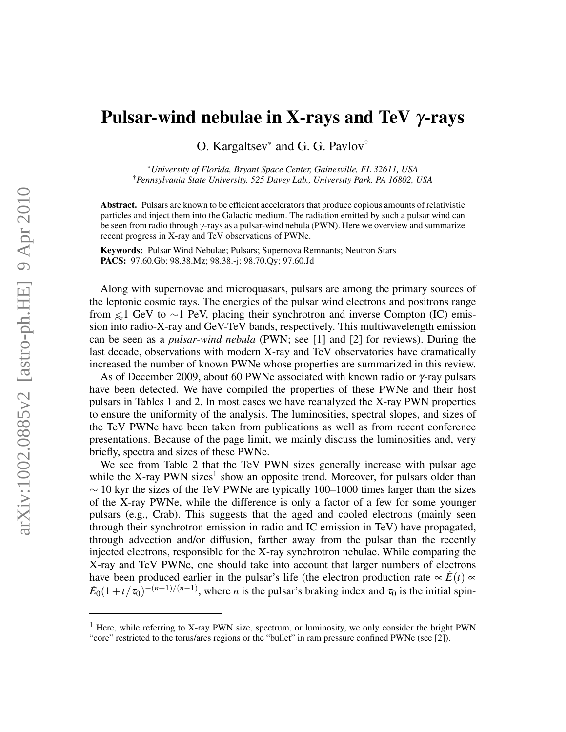## Pulsar-wind nebulae in X-rays and TeV  $\gamma$ -rays

O. Kargaltsev<sup>∗</sup> and G. G. Pavlov†

<sup>∗</sup>*University of Florida, Bryant Space Center, Gainesville, FL 32611, USA* †*Pennsylvania State University, 525 Davey Lab., University Park, PA 16802, USA*

Abstract. Pulsars are known to be efficient accelerators that produce copious amounts of relativistic particles and inject them into the Galactic medium. The radiation emitted by such a pulsar wind can be seen from radio through γ-rays as a pulsar-wind nebula (PWN). Here we overview and summarize recent progress in X-ray and TeV observations of PWNe.

Keywords: Pulsar Wind Nebulae; Pulsars; Supernova Remnants; Neutron Stars PACS: 97.60.Gb; 98.38.Mz; 98.38.-j; 98.70.Qy; 97.60.Jd

Along with supernovae and microquasars, pulsars are among the primary sources of the leptonic cosmic rays. The energies of the pulsar wind electrons and positrons range from  $\leq 1$  GeV to ∼1 PeV, placing their synchrotron and inverse Compton (IC) emission into radio-X-ray and GeV-TeV bands, respectively. This multiwavelength emission can be seen as a *pulsar-wind nebula* (PWN; see [1] and [2] for reviews). During the last decade, observations with modern X-ray and TeV observatories have dramatically increased the number of known PWNe whose properties are summarized in this review.

As of December 2009, about 60 PWNe associated with known radio or  $\gamma$ -ray pulsars have been detected. We have compiled the properties of these PWNe and their host pulsars in Tables 1 and 2. In most cases we have reanalyzed the X-ray PWN properties to ensure the uniformity of the analysis. The luminosities, spectral slopes, and sizes of the TeV PWNe have been taken from publications as well as from recent conference presentations. Because of the page limit, we mainly discuss the luminosities and, very briefly, spectra and sizes of these PWNe.

We see from Table 2 that the TeV PWN sizes generally increase with pulsar age while the X-ray PWN sizes<sup>1</sup> show an opposite trend. Moreover, for pulsars older than  $\sim$  10 kyr the sizes of the TeV PWNe are typically 100–1000 times larger than the sizes of the X-ray PWNe, while the difference is only a factor of a few for some younger pulsars (e.g., Crab). This suggests that the aged and cooled electrons (mainly seen through their synchrotron emission in radio and IC emission in TeV) have propagated, through advection and/or diffusion, farther away from the pulsar than the recently injected electrons, responsible for the X-ray synchrotron nebulae. While comparing the X-ray and TeV PWNe, one should take into account that larger numbers of electrons have been produced earlier in the pulsar's life (the electron production rate  $\propto E(t)$   $\propto$  $\dot{E}_0(1+t/\tau_0)^{-(n+1)/(n-1)}$ , where *n* is the pulsar's braking index and  $\tau_0$  is the initial spin-

<sup>&</sup>lt;sup>1</sup> Here, while referring to X-ray PWN size, spectrum, or luminosity, we only consider the bright PWN "core" restricted to the torus/arcs regions or the "bullet" in ram pressure confined PWNe (see [2]).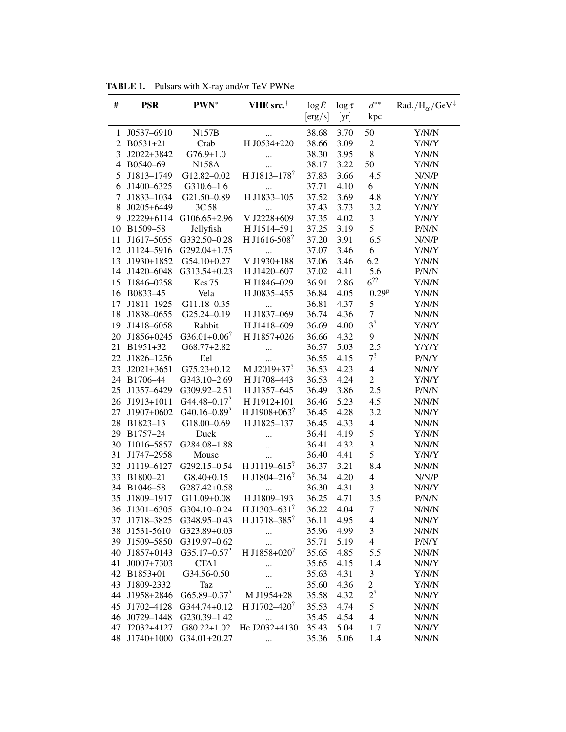|    | <b>IABLE 1.</b> Pulsars with $X$ -ray and/or lev PWNe |                            |                                                     |                |                 |                          |                                                      |  |  |
|----|-------------------------------------------------------|----------------------------|-----------------------------------------------------|----------------|-----------------|--------------------------|------------------------------------------------------|--|--|
| #  | <b>PSR</b>                                            | $PWN^*$                    | VHE src. <sup>†</sup>                               | $\log \dot{E}$ | $\log \tau$     | $d^{**}$                 | $\mathrm{Rad.}/\mathrm{H}_\alpha/\mathrm{GeV}^\ddag$ |  |  |
|    |                                                       |                            |                                                     | [erg/s]        | $[\mathrm{yr}]$ | kpc                      |                                                      |  |  |
| 1  | J0537-6910                                            | <b>N157B</b>               |                                                     | 38.68          | 3.70            | 50                       | Y/N/N                                                |  |  |
|    | 2 B0531+21                                            | Crab                       | H J0534+220                                         | 38.66          | 3.09            | $\overline{2}$           | Y/N/Y                                                |  |  |
| 3  | J2022+3842                                            | $G76.9+1.0$                |                                                     | 38.30          | 3.95            | 8                        | Y/N/N                                                |  |  |
|    | 4 B0540-69                                            | <b>N158A</b>               |                                                     | 38.17          | 3.22            | 50                       | Y/N/N                                                |  |  |
| 5  | J1813-1749                                            | G12.82-0.02                | <br>H J1813-178?                                    | 37.83          | 3.66            | 4.5                      | N/N/P                                                |  |  |
| 6  | J1400-6325                                            | $G310.6 - 1.6$             |                                                     | 37.71          | 4.10            | 6                        | Y/N/N                                                |  |  |
| 7  | J1833-1034                                            | G21.50-0.89                | $\cdots$<br>H J1833-105                             | 37.52          | 3.69            | 4.8                      | Y/N/Y                                                |  |  |
| 8  | $J0205+6449$                                          | 3C 58                      |                                                     | 37.43          | 3.73            | 3.2                      | Y/N/Y                                                |  |  |
| 9  |                                                       | J2229+6114 G106.65+2.96    | $\cdots$<br>V J2228+609                             | 37.35          | 4.02            | $\mathfrak{Z}$           | Y/N/Y                                                |  |  |
|    | 10 B1509-58                                           | Jellyfish                  | H J1514-591                                         | 37.25          | 3.19            | 5                        | P/N/N                                                |  |  |
|    | 11 J1617-5055                                         | G332.50-0.28               | H J1616-508?                                        | 37.20          | 3.91            | 6.5                      |                                                      |  |  |
|    | 12 J1124-5916                                         | G292.04+1.75               |                                                     | 37.07          | 3.46            | 6                        | N/N/P<br>Y/N/Y                                       |  |  |
|    |                                                       |                            | $\ddotsc$                                           | 37.06          | 3.46            | 6.2                      |                                                      |  |  |
|    | 13 J1930+1852                                         | G54.10+0.27                | V J1930+188<br>H J1420-607                          | 37.02          | 4.11            | 5.6                      | Y/N/N<br>P/N/N                                       |  |  |
|    | 14 J1420-6048                                         | G313.54+0.23               |                                                     |                |                 | $6^{22}$                 |                                                      |  |  |
|    | 15 J1846-0258                                         | Kes <sub>75</sub>          | H J1846-029                                         | 36.91          | 2.86            |                          | Y/N/N                                                |  |  |
|    | 16 B0833-45                                           | Vela                       | H J0835-455                                         | 36.84          | 4.05            | 0.29 <sup>p</sup>        | Y/N/N                                                |  |  |
| 17 | J1811-1925                                            | G11.18-0.35                | $\cdots$                                            | 36.81          | 4.37            | 5                        | Y/N/N                                                |  |  |
|    | 18 J1838-0655                                         | G25.24-0.19                | H J1837-069                                         | 36.74          | 4.36            | $\tau$<br>3 <sup>?</sup> | N/N/N                                                |  |  |
|    | 19 J1418-6058                                         | Rabbit                     | H J1418-609                                         | 36.69          | 4.00            |                          | Y/N/Y                                                |  |  |
|    | 20 J1856+0245                                         | $G36.01+0.06$ <sup>?</sup> | H J1857+026                                         | 36.66          | 4.32            | 9                        | N/N/N                                                |  |  |
|    | 21 B1951+32                                           | G68.77+2.82                |                                                     | 36.57          | 5.03            | 2.5                      | Y/Y/Y                                                |  |  |
|    | 22 J1826-1256                                         | Eel                        | $\cdots$                                            | 36.55          | 4.15            | $7^?$                    | P/N/Y                                                |  |  |
| 23 | $J2021+3651$                                          | $G75.23 + 0.12$            | M J2019+37 <sup>?</sup>                             | 36.53          | 4.23            | $\overline{4}$           | N/N/Y                                                |  |  |
|    | 24 B1706-44                                           | G343.10-2.69               | H J1708-443                                         | 36.53          | 4.24            | $\overline{2}$           | Y/N/Y                                                |  |  |
|    | 25 J1357-6429                                         | G309.92-2.51               | H J1357-645                                         | 36.49          | 3.86            | 2.5                      | P/N/N                                                |  |  |
|    | 26 J1913+1011                                         | G44.48-0.17 <sup>?</sup>   | H J1912+101                                         | 36.46          | 5.23            | 4.5                      | N/N/N                                                |  |  |
|    | 27 J1907+0602                                         | G40.16–0.89 <sup>?</sup>   | H J1908+063 <sup>?</sup>                            | 36.45          | 4.28            | 3.2                      | N/N/Y                                                |  |  |
|    | 28 B1823-13                                           | G18.00-0.69                | H J1825-137                                         | 36.45          | 4.33            | $\overline{4}$           | N/N/N                                                |  |  |
|    | 29 B1757-24                                           | Duck                       |                                                     | 36.41          | 4.19            | 5                        | Y/N/N                                                |  |  |
|    | 30 J1016-5857                                         | G284.08-1.88               | $\ddotsc$                                           | 36.41          | 4.32            | $\mathfrak{Z}$           | N/N/N                                                |  |  |
|    | 31 J1747-2958                                         | Mouse                      | $\cdots$                                            | 36.40          | 4.41            | 5                        | Y/N/Y                                                |  |  |
|    | 32 J1119-6127                                         | G292.15-0.54               | H J1119-615 <sup>?</sup>                            | 36.37          | 3.21            | 8.4                      | N/N/N                                                |  |  |
| 33 | B1800-21                                              | $G8.40 + 0.15$             | H J1804-216?                                        | 36.34          | 4.20            | $\overline{4}$           | N/N/P                                                |  |  |
|    | 34 B1046-58                                           | G287.42+0.58               | $\cdots$                                            | 36.30          | 4.31            | 3                        | N/N/Y                                                |  |  |
|    |                                                       |                            | 35 J1809-1917 G11.09+0.08 H J1809-193               | 36.25          | 4.71            | 3.5                      | P/N/N                                                |  |  |
|    |                                                       |                            | 36 J1301-6305 G304.10-0.24 H J1303-631 <sup>?</sup> | 36.22          | 4.04            | 7                        | N/N/N                                                |  |  |
|    |                                                       | 37 J1718-3825 G348.95-0.43 | H J1718-385?                                        | 36.11          | 4.95            | $\overline{4}$           | N/N/Y                                                |  |  |
|    | 38 J1531-5610                                         | G323.89+0.03               | $\cdots$                                            | 35.96          | 4.99            | 3                        | N/N/N                                                |  |  |
|    | 39 J1509-5850                                         | G319.97-0.62               | $\cdots$                                            | 35.71          | 5.19            | $\overline{4}$           | P/N/Y                                                |  |  |
| 40 | J1857+0143                                            | $G35.17 - 0.57$            | H J1858+020 <sup>?</sup>                            | 35.65          | 4.85            | 5.5                      | N/N/N                                                |  |  |
| 41 | J0007+7303                                            | CTA1                       | $\cdots$                                            | 35.65          | 4.15            | 1.4                      | N/N/Y                                                |  |  |
|    | 42 B1853+01                                           | G34.56-0.50                | $\ddotsc$                                           | 35.63          | 4.31            | $\mathfrak{Z}$           | Y/N/N                                                |  |  |
| 43 | J1809-2332                                            | Taz                        | $\cdots$                                            | 35.60          | 4.36            | $\overline{2}$           | Y/N/N                                                |  |  |
| 44 | J1958+2846                                            | G65.89-0.37?               | M J1954+28                                          | 35.58          | 4.32            | $2^?$                    | N/N/Y                                                |  |  |
| 45 | J1702-4128                                            | G344.74+0.12               | H J1702-420 <sup>?</sup>                            | 35.53          | 4.74            | 5                        | N/N/N                                                |  |  |
|    | 46 J0729-1448                                         | G230.39-1.42               | $\cdots$                                            | 35.45          | 4.54            | $\overline{4}$           | N/N/N                                                |  |  |
|    | 47 J2032+4127                                         |                            | G80.22+1.02 He J2032+4130                           | 35.43          | 5.04            | 1.7                      | N/N/Y                                                |  |  |
|    |                                                       | 48 J1740+1000 G34.01+20.27 | $\cdots$                                            | 35.36          | 5.06            | 1.4                      | N/N/N                                                |  |  |

TABLE 1. Pulsars with X-ray and/or TeV PWNe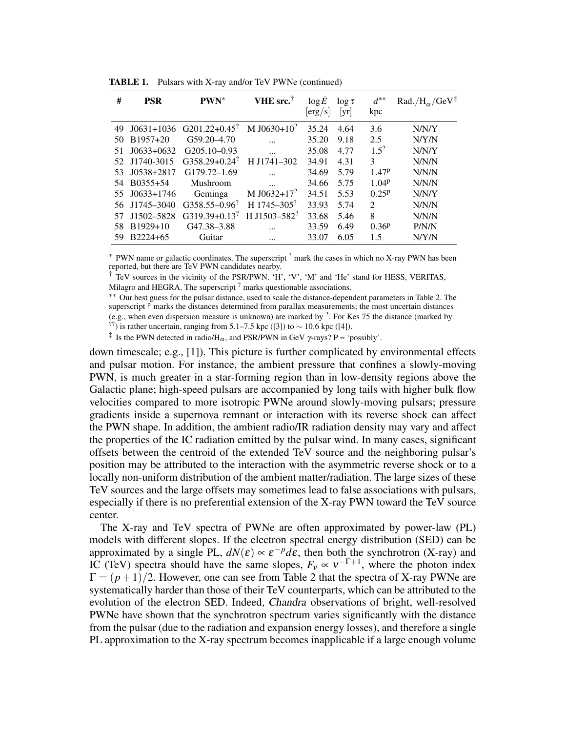| #  | <b>PSR</b>     | $PWN^*$                   | VHE src. <sup>†</sup>       | log E<br>$\left[ \text{erg}/\text{s} \right]$ | $\log \tau$<br>[yr] | $d^{**}$<br>kpc    | Rad./ $H_{\alpha}$ /GeV <sup>‡</sup> |
|----|----------------|---------------------------|-----------------------------|-----------------------------------------------|---------------------|--------------------|--------------------------------------|
| 49 | $J(0631+1036)$ | G201.22+0.45 <sup>?</sup> | M J0630+10 <sup>?</sup>     | 35.24                                         | 4.64                | 3.6                | N/N/Y                                |
| 50 | $B1957+20$     | $G59.20 - 4.70$           |                             | 35.20                                         | 9.18                | 2.5                | N/Y/N                                |
| 51 | $J0633+0632$   | G205.10-0.93              |                             | 35.08                                         | 4.77                | $1.5$ <sup>?</sup> | N/N/Y                                |
| 52 | J1740-3015     | $G358.29 + 0.24$          | H J1741-302                 | 34.91                                         | 4.31                | 3                  | N/N/N                                |
| 53 | $J0538+2817$   | G179.72-1.69              |                             | 34.69                                         | 5.79                | 1.47P              | N/N/N                                |
| 54 | B0355+54       | Mushroom                  | $\ddotsc$                   | 34.66                                         | 5.75                | 1.04 <sup>p</sup>  | N/N/N                                |
| 55 | $J(0633+1746)$ | Geminga                   | M J0632+17 <sup>?</sup>     | 34.51                                         | 5.53                | $0.25^{p}$         | N/N/Y                                |
| 56 | $J1745 - 3040$ | $G358.55 - 0.96$          | H $1745 - 305$ <sup>?</sup> | 33.93                                         | 5.74                | 2                  | N/N/N                                |
| 57 | J1502-5828     | $G319.39+0.13$            | H J1503-582 <sup>?</sup>    | 33.68                                         | 5.46                | 8                  | N/N/N                                |
| 58 | $B1929+10$     | G47.38-3.88               |                             | 33.59                                         | 6.49                | $0.36^{p}$         | P/N/N                                |
| 59 | B2224+65       | Guitar                    |                             | 33.07                                         | 6.05                | 1.5                | N/Y/N                                |

TABLE 1. Pulsars with X-ray and/or TeV PWNe (continued)

 $*$  PWN name or galactic coordinates. The superscript  $?$  mark the cases in which no X-ray PWN has been reported, but there are TeV PWN candidates nearby.

† TeV sources in the vicinity of the PSR/PWN. 'H', 'V', 'M' and 'He' stand for HESS, VERITAS,

Milagro and HEGRA. The superscript <sup>?</sup> marks questionable associations.

∗∗ Our best guess for the pulsar distance, used to scale the distance-dependent parameters in Table 2. The superscript  $P$  marks the distances determined from parallax measurements; the most uncertain distances (e.g., when even dispersion measure is unknown) are marked by  $\frac{7}{1}$ . For Kes 75 the distance (marked by <sup>??</sup>) is rather uncertain, ranging from 5.1–7.5 kpc ([3]) to  $\sim$  10.6 kpc ([4]).

<sup>‡</sup> Is the PWN detected in radio/H<sub> $\alpha$ </sub>, and PSR/PWN in GeV  $\gamma$ -rays? P = 'possibly'.

down timescale; e.g., [1]). This picture is further complicated by environmental effects and pulsar motion. For instance, the ambient pressure that confines a slowly-moving PWN, is much greater in a star-forming region than in low-density regions above the Galactic plane; high-speed pulsars are accompanied by long tails with higher bulk flow velocities compared to more isotropic PWNe around slowly-moving pulsars; pressure gradients inside a supernova remnant or interaction with its reverse shock can affect the PWN shape. In addition, the ambient radio/IR radiation density may vary and affect the properties of the IC radiation emitted by the pulsar wind. In many cases, significant offsets between the centroid of the extended TeV source and the neighboring pulsar's position may be attributed to the interaction with the asymmetric reverse shock or to a locally non-uniform distribution of the ambient matter/radiation. The large sizes of these TeV sources and the large offsets may sometimes lead to false associations with pulsars, especially if there is no preferential extension of the X-ray PWN toward the TeV source center.

The X-ray and TeV spectra of PWNe are often approximated by power-law (PL) models with different slopes. If the electron spectral energy distribution (SED) can be approximated by a single PL,  $dN(\varepsilon) \propto \varepsilon^{-p} d\varepsilon$ , then both the synchrotron (X-ray) and IC (TeV) spectra should have the same slopes,  $F_v \propto v^{-\Gamma+1}$ , where the photon index  $\Gamma = (p+1)/2$ . However, one can see from Table 2 that the spectra of X-ray PWNe are systematically harder than those of their TeV counterparts, which can be attributed to the evolution of the electron SED. Indeed, Chandra observations of bright, well-resolved PWNe have shown that the synchrotron spectrum varies significantly with the distance from the pulsar (due to the radiation and expansion energy losses), and therefore a single PL approximation to the X-ray spectrum becomes inapplicable if a large enough volume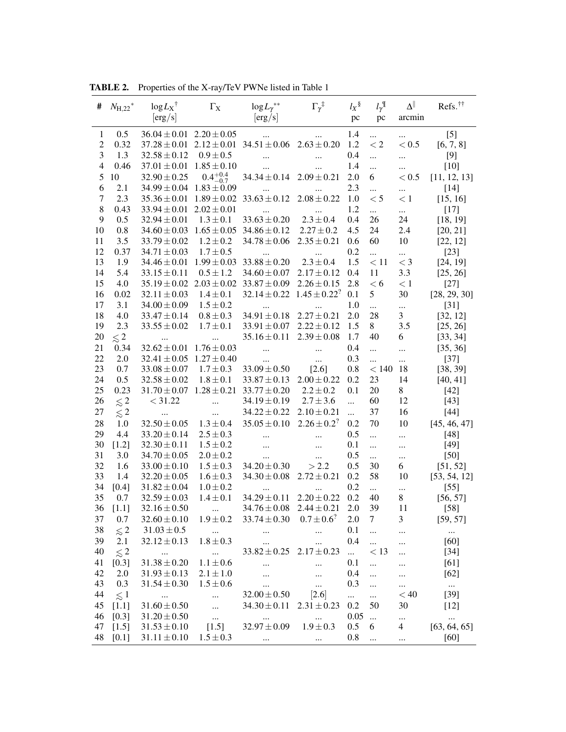| #             | $N_{\rm H,22}^*$ | $\log L_X$ <sup>†</sup><br>[erg/s] | $\Gamma_{\rm X}$    | $\log L_{\gamma}^{**}$<br>[erg/s]                 | $\Gamma_\gamma$ <sup>‡</sup> | $l_X$ §<br>pc | $l_{\gamma}^{\mathbb{I}}$<br>pc | $\Delta^{\parallel}$<br>arcmin | Refs. <sup>††</sup> |
|---------------|------------------|------------------------------------|---------------------|---------------------------------------------------|------------------------------|---------------|---------------------------------|--------------------------------|---------------------|
| 1             | 0.5              | $36.04 \pm 0.01$ $2.20 \pm 0.05$   |                     | $\dddotsc$                                        |                              | 1.4           | $\cdots$                        | $\ldots$                       | $[5]$               |
| $\mathfrak 2$ | 0.32             | $37.28 \pm 0.01$                   |                     | $2.12 \pm 0.01$ 34.51 $\pm 0.06$                  | $2.63 \pm 0.20$              | 1.2           | $\lt 2$                         | < 0.5                          | [6, 7, 8]           |
| 3             | 1.3              | $32.58 \pm 0.12$                   | $0.9 \pm 0.5$       | $\cdots$                                          |                              | 0.4           |                                 |                                | [9]                 |
| 4             | 0.46             | $37.01 \pm 0.01$                   | $1.85 \pm 0.10$     |                                                   |                              | 1.4           | $\ldots$                        |                                | $[10]$              |
| 5             | 10               | $32.90 \pm 0.25$                   | $0.4^{+0.4}_{-0.7}$ | $34.34 \pm 0.14$                                  | $2.09 \pm 0.21$              | 2.0           | 6                               | < 0.5                          | [11, 12, 13]        |
| 6             | 2.1              | $34.99 \pm 0.04$ $1.83 \pm 0.09$   |                     |                                                   |                              | 2.3           |                                 | $\ddotsc$                      | $[14]$              |
| $\tau$        | 2.3              | $35.36 \pm 0.01$                   |                     | $1.89 \pm 0.02$ 33.63 $\pm$ 0.12                  | $2.08 \pm 0.22$              | 1.0           | $\leq 5$                        | < 1                            | [15, 16]            |
| 8             | 0.43             | $33.94 \pm 0.01$                   | $2.02 \pm 0.01$     |                                                   |                              | 1.2           | $\ddotsc$                       | $\ddotsc$                      | $[17]$              |
| 9             | 0.5              | $32.94 \pm 0.01$                   | $1.3 \pm 0.1$       | $33.63 \pm 0.20$                                  | $2.3 \pm 0.4$                | 0.4           | 26                              | 24                             | [18, 19]            |
| 10            | 0.8              |                                    |                     | $34.60 \pm 0.03$ $1.65 \pm 0.05$ $34.86 \pm 0.12$ | $2.27 \pm 0.2$               | 4.5           | 24                              | 2.4                            | [20, 21]            |
| 11            | 3.5              | $33.79 \pm 0.02$                   | $1.2 \pm 0.2$       | $34.78 \pm 0.06$                                  | $2.35 \pm 0.21$              | 0.6           | 60                              | 10                             | [22, 12]            |
| 12            | 0.37             | $34.71 \pm 0.03$                   | $1.7 \pm 0.5$       | $\cdots$                                          | $\cdots$                     | 0.2           | $\ddotsc$                       | $\cdots$                       | $[23]$              |
| 13            | 1.9              | $34.46 \pm 0.01$                   | $1.99 \pm 0.03$     | $33.88 \pm 0.20$                                  | $2.3 \pm 0.4$                | 1.5           | < 11                            | $<$ 3                          | [24, 19]            |
| 14            | 5.4              | $33.15 \pm 0.11$                   | $0.5 \pm 1.2$       | $34.60 \pm 0.07$                                  | $2.17 \pm 0.12$              | 0.4           | 11                              | 3.3                            | [25, 26]            |
| 15            | 4.0              |                                    |                     | $35.19 \pm 0.02$ $2.03 \pm 0.02$ $33.87 \pm 0.09$ | $2.26 \pm 0.15$              | 2.8           | < 6                             | < 1                            | $[27]$              |
| 16            | 0.02             | $32.11 \pm 0.03$                   | $1.4 \pm 0.1$       | $32.14 \pm 0.22$ $1.45 \pm 0.22$ <sup>?</sup>     |                              | 0.1           | 5                               | 30                             | [28, 29, 30]        |
| 17            | 3.1              | $34.00 \pm 0.09$                   | $1.5 \pm 0.2$       | $\ldots$                                          |                              | 1.0           | $\ddotsc$                       | $\cdots$                       | $[31]$              |
| 18            | 4.0              | $33.47 \pm 0.14$                   | $0.8 \pm 0.3$       | $34.91 \pm 0.18$                                  | $2.27 \pm 0.21$              | 2.0           | 28                              | 3                              | [32, 12]            |
| 19            | 2.3              | $33.55 \pm 0.02$                   | $1.7 \pm 0.1$       | $33.91 \pm 0.07$                                  | $2.22 \pm 0.12$              | 1.5           | 8                               | 3.5                            | [25, 26]            |
| 20            | $\lesssim 2$     | $\cdots$                           |                     | $35.16 \pm 0.11$                                  | $2.39 \pm 0.08$              | 1.7           | 40                              | 6                              | [33, 34]            |
| 21            | 0.34             | $32.62 \pm 0.01$                   | $1.76 \pm 0.03$     | $\cdots$                                          |                              | 0.4           | $\ddotsc$                       |                                | [35, 36]            |
| 22            | 2.0              | $32.41 \pm 0.05$ $1.27 \pm 0.40$   |                     | $\cdots$                                          | $\cdots$                     | 0.3           |                                 | $\cdots$                       | $[37]$              |
| 23            | 0.7              | $33.08 \pm 0.07$                   | $1.7 \pm 0.3$       | $33.09 \pm 0.50$                                  | $[2.6]$                      | 0.8           | < 140                           | 18                             | [38, 39]            |
| 24            | 0.5              | $32.58 \pm 0.02$                   | $1.8 \pm 0.1$       | $33.87 \pm 0.13$                                  | $2.00 \pm 0.22$              | 0.2           | 23                              | 14                             | [40, 41]            |
| 25            | 0.23             | $31.70 \pm 0.07$ $1.28 \pm 0.21$   |                     | $33.77 \pm 0.20$                                  | $2.2 \pm 0.2$                | 0.1           | 20                              | 8                              | $[42]$              |
| 26            | $\lesssim$ 2     | < 31.22                            | $\ddotsc$           | $34.19 \pm 0.19$                                  | $2.7 \pm 3.6$                | $\ddotsc$     | 60                              | 12                             | $[43]$              |
| 27            | $\lesssim 2$     | $\ddotsc$                          | $\ddotsc$           | $34.22 \pm 0.22$                                  | $2.10 \pm 0.21$              | $\ddotsc$     | 37                              | 16                             | $[44]$              |
| 28            | 1.0              | $32.50 \pm 0.05$                   | $1.3 \pm 0.4$       | $35.05 \pm 0.10$                                  | $2.26 \pm 0.2$ <sup>?</sup>  | 0.2           | 70                              | 10                             | [45, 46, 47]        |
| 29            | 4.4              | $33.20 \pm 0.14$                   | $2.5 \pm 0.3$       | $\cdots$                                          | $\cdots$                     | 0.5           | $\cdots$                        | $\cdots$                       | $[48]$              |
| 30            | $[1.2]$          | $32.30 \pm 0.11$                   | $1.5 \pm 0.2$       | $\ddotsc$                                         | $\ddotsc$                    | 0.1           | $\cdots$                        | $\cdots$                       | $[49]$              |
| 31            | 3.0              | $34.70 \pm 0.05$                   | $2.0 \pm 0.2$       | $\cdots$                                          | $\cdots$                     | 0.5           |                                 | $\cdots$                       | $[50]$              |
| 32            | 1.6              | $33.00 \pm 0.10$                   | $1.5 \pm 0.3$       | $34.20 \pm 0.30$                                  | > 2.2                        | 0.5           | 30                              | 6                              | [51, 52]            |
| 33            | 1.4              | $32.20 \pm 0.05$                   | $1.6 \pm 0.3$       | $34.30 \pm 0.08$                                  | $2.72 \pm 0.21$              | 0.2           | 58                              | 10                             | [53, 54, 12]        |
| 34            | $[0.4]$          | $31.82 \pm 0.04$                   | $1.0 \pm 0.2$       |                                                   |                              | 0.2           |                                 | $\cdots$                       | $[55]$              |
| 35            | 0.7              | $32.59 \pm 0.03$                   | $1.4 \pm 0.1$       | $34.29 \pm 0.11$                                  | $2.20 \pm 0.22$              | 0.2           | 40                              | 8                              | [56, 57]            |
|               | 36 [1.1]         | $32.16 \pm 0.50$                   |                     | $34.76 \pm 0.08$ $2.44 \pm 0.21$ 2.0              |                              |               | 39                              | 11                             | $[58]$              |
| 37            | 0.7              | $32.60 \pm 0.10$                   | $1.9 \pm 0.2$       | $33.74 \pm 0.30$                                  | $0.7 \pm 0.6$ ?              | 2.0           | 7                               | 3                              | [59, 57]            |
| 38            | $\lesssim 2$     | $31.03 \pm 0.5$                    | $\ldots$            |                                                   |                              | 0.1           | $\ddotsc$                       |                                | $\cdots$            |
| 39            | 2.1              | $32.12 \pm 0.13$                   | $1.8 \pm 0.3$       | $\cdots$                                          | $\cdots$                     | 0.4           | $\ddotsc$                       |                                | [60]                |
| 40            | $\lesssim$ 2     | $\cdots$                           | $\cdots$            | $33.82 \pm 0.25$ $2.17 \pm 0.23$                  |                              | $\cdots$      | < 13                            | $\ddots$                       | $[34]$              |
| 41            | $[0.3]$          | $31.38\pm0.20$                     | $1.1 \pm 0.6$       | $\cdots$                                          |                              | 0.1           | $\cdots$                        | $\ddotsc$                      | [61]                |
| 42            | 2.0              | $31.93 \pm 0.13$                   | $2.1 \pm 1.0$       | $\cdots$                                          | $\cdots$                     | 0.4           | $\ddotsc$                       | $\ddotsc$                      | [62]                |
| 43            | 0.3              | $31.54 \pm 0.30$                   | $1.5 \pm 0.6$       | $\ddotsc$                                         | $\cdots$                     | 0.3           | $\cdots$                        |                                | $\ldots$            |
| 44            | $\lesssim$ 1     | $\cdots$                           | $\cdots$            | $32.00 \pm 0.50$                                  | $[2.6]$                      | $\cdots$      | $\ddotsc$                       | < 40                           | $[39]$              |
| 45            | $[1.1]$          | $31.60 \pm 0.50$                   | $\ddotsc$           | $34.30 \pm 0.11$                                  | $2.31 \pm 0.23$              | 0.2           | 50                              | 30                             | $[12]$              |
| 46            | $[0.3]$          | $31.20 \pm 0.50$                   | $\mathbf{r}$        | $\ldots$                                          | $\cdots$                     | 0.05          | $\ldots$                        | $\cdots$                       | $\cdots$            |
| 47            | $[1.5]$          | $31.53 \pm 0.10$                   | [1.5]               | $32.97 \pm 0.09$                                  | $1.9 \pm 0.3$                | 0.5           | 6                               | 4                              | [63, 64, 65]        |
| 48            | [0.1]            | $31.11 \pm 0.10$                   | $1.5 \pm 0.3$       | $\cdots$                                          | $\cdots$                     | 0.8           | $\cdots$                        | $\cdots$                       | [60]                |

TABLE 2. Properties of the X-ray/TeV PWNe listed in Table 1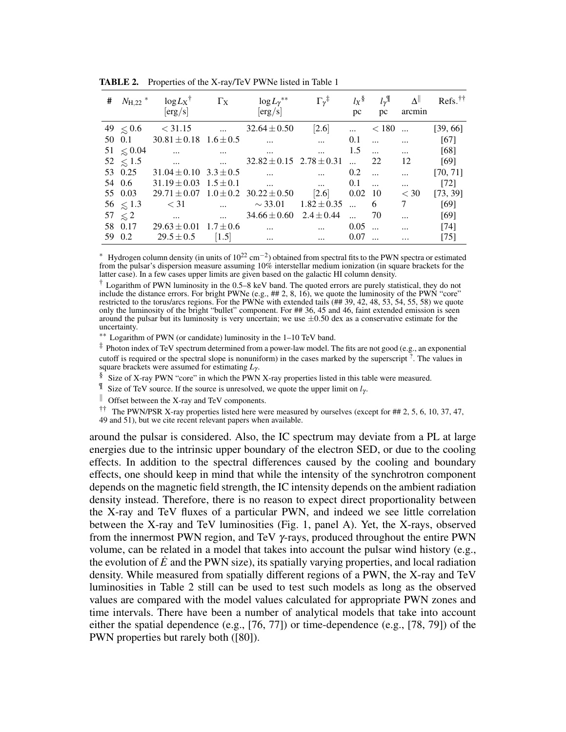| # |               | $N_{\rm H,22}$ * $\log L_{\rm X}$ * $\Gamma_{\rm X}$                                                                                                                                                                                 |                                                           | $\log L_\gamma{}^{**}$                                         | $\Gamma_\gamma$ <sup>‡</sup> | $l_X$ <sup>§</sup> |                        | $l_{\gamma}$ <sup>I</sup> $\Delta$ <sup>  </sup> | $\text{Refs.}^{\dagger\dagger}$ |
|---|---------------|--------------------------------------------------------------------------------------------------------------------------------------------------------------------------------------------------------------------------------------|-----------------------------------------------------------|----------------------------------------------------------------|------------------------------|--------------------|------------------------|--------------------------------------------------|---------------------------------|
|   |               | [erg/s]                                                                                                                                                                                                                              |                                                           | [erg/s]                                                        |                              |                    | $pc \tpc$              | arcmin                                           |                                 |
|   |               | $49 \le 0.6 \le 31.15 \dots$                                                                                                                                                                                                         |                                                           | $32.64 \pm 0.50$                                               | [2.6]                        | $\dddotsc$         | $< 180$                |                                                  | [39, 66]                        |
|   | 50 0.1        | $30.81 \pm 0.18$ $1.6 \pm 0.5$                                                                                                                                                                                                       |                                                           | $\mathbf{r}$ and $\mathbf{r}$ are the set of $\mathbf{r}$      |                              | 0.1                | $\dddotsc$<br>$\cdots$ |                                                  | [67]                            |
|   | $51 \le 0.04$ | $\sim$ $\sim$                                                                                                                                                                                                                        | and the contract of the contract of                       | <b>Contract Contract Contract</b>                              | $\dddotsc$                   | 1.5                | $\dddotsc$             | $\dddotsc$                                       | [68]                            |
|   | $52 \leq 1.5$ | <u>and the company of the company of the company of the company of the company of the company of the company of the company of the company of the company of the company of the company of the company of the company of the com</u> |                                                           | $32.82 \pm 0.15$ $2.78 \pm 0.31$                               |                              | $\mathbf{r}$       | 22                     | 12                                               | [69]                            |
|   | 53 0.25       | $31.04 \pm 0.10$ $3.3 \pm 0.5$                                                                                                                                                                                                       |                                                           | $\mathbf{r}$ and $\mathbf{r}$ are the contract of $\mathbf{r}$ |                              | 0.2                | $\dddotsc$             | $\dddotsc$                                       | [70, 71]                        |
|   | 54 0.6        |                                                                                                                                                                                                                                      |                                                           | $31.19 \pm 0.03$ $1.5 \pm 0.1$ 0.1                             |                              |                    | $\dddotsc$             | $\dddotsc$                                       | $[72]$                          |
|   | 55 0.03       |                                                                                                                                                                                                                                      |                                                           | $29.71 \pm 0.07$ $1.0 \pm 0.2$ $30.22 \pm 0.50$ [2.6] 0.02 10  |                              |                    |                        | $<$ 30                                           | [73, 39]                        |
|   | 56 $\leq 1.3$ |                                                                                                                                                                                                                                      |                                                           | $\langle 31$ $\sim 33.01$ $1.82 \pm 0.35$                      |                              | $\dots$ 6          |                        | 7                                                | [69]                            |
|   | $57 \leq 2$   | $\cdots$                                                                                                                                                                                                                             | $\mathbf{r}$ and $\mathbf{r}$ are the set of $\mathbf{r}$ | $34.66 \pm 0.60$ $2.4 \pm 0.44$                                |                              | $\ddotsc$          | 70                     | $\ddotsc$                                        | [69]                            |
|   | 58 0.17       | $29.63 \pm 0.01$ $1.7 \pm 0.6$                                                                                                                                                                                                       |                                                           | $\cdots$                                                       | $\dddotsc$                   | 0.05               |                        | $\ddotsc$                                        | $[74]$                          |
|   | 59 0.2        | $29.5 \pm 0.5$                                                                                                                                                                                                                       | [1.5]                                                     | $\ddots$                                                       | $\ddotsc$                    | 0.07               |                        | $\cdots$                                         | $[75]$                          |
|   |               |                                                                                                                                                                                                                                      |                                                           |                                                                |                              |                    |                        |                                                  |                                 |

TABLE 2. Properties of the X-ray/TeV PWNe listed in Table 1

<sup>\*</sup> Hydrogen column density (in units of  $10^{22}$  cm<sup>-2</sup>) obtained from spectral fits to the PWN spectra or estimated from the pulsar's dispersion measure assuming 10% interstellar medium ionization (in square brackets for the latter case). In a few cases upper limits are given based on the galactic HI column density.

 $\dagger$  Logarithm of PWN luminosity in the 0.5–8 keV band. The quoted errors are purely statistical, they do not include the distance errors. For bright PWNe (e.g., ## 2, 8, 16), we quote the luminosity of the PWN "core" restricted to the torus/arcs regions. For the PWNe with extended tails (## 39, 42, 48, 53, 54, 55, 58) we quote only the luminosity of the bright "bullet" component. For ## 36, 45 and 46, faint extended emission is seen around the pulsar but its luminosity is very uncertain; we use  $\pm 0.50$  dex as a conservative estimate for the uncertainty.

∗∗ Logarithm of PWN (or candidate) luminosity in the 1–10 TeV band.

‡ Photon index of TeV spectrum determined from a power-law model. The fits are not good (e.g., an exponential cutoff is required or the spectral slope is nonuniform) in the cases marked by the superscript ? . The values in square brackets were assumed for estimating *L*<sup>γ</sup> .

 $§$  Size of X-ray PWN "core" in which the PWN X-ray properties listed in this table were measured.

 $\mathbb{I}$  Size of TeV source. If the source is unresolved, we quote the upper limit on  $l_{\gamma}$ .

 $\parallel$  Offset between the X-ray and TeV components.

†† The PWN/PSR X-ray properties listed here were measured by ourselves (except for ## 2, 5, 6, 10, 37, 47, 49 and 51), but we cite recent relevant papers when available.

around the pulsar is considered. Also, the IC spectrum may deviate from a PL at large energies due to the intrinsic upper boundary of the electron SED, or due to the cooling effects. In addition to the spectral differences caused by the cooling and boundary effects, one should keep in mind that while the intensity of the synchrotron component depends on the magnetic field strength, the IC intensity depends on the ambient radiation density instead. Therefore, there is no reason to expect direct proportionality between the X-ray and TeV fluxes of a particular PWN, and indeed we see little correlation between the X-ray and TeV luminosities (Fig. 1, panel A). Yet, the X-rays, observed from the innermost PWN region, and TeV γ-rays, produced throughout the entire PWN volume, can be related in a model that takes into account the pulsar wind history (e.g., the evolution of  $\dot{E}$  and the PWN size), its spatially varying properties, and local radiation density. While measured from spatially different regions of a PWN, the X-ray and TeV luminosities in Table 2 still can be used to test such models as long as the observed values are compared with the model values calculated for appropriate PWN zones and time intervals. There have been a number of analytical models that take into account either the spatial dependence (e.g., [76, 77]) or time-dependence (e.g., [78, 79]) of the PWN properties but rarely both ([80]).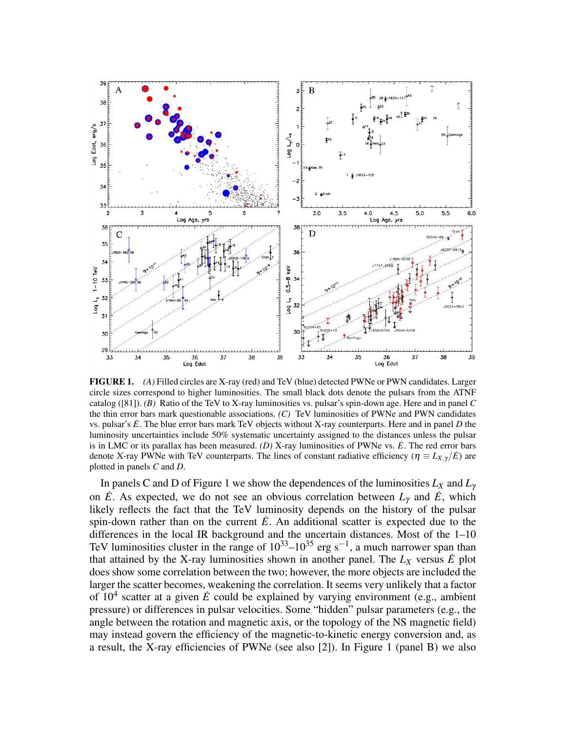

FIGURE 1. *(A)* Filled circles are X-ray (red) and TeV (blue) detected PWNe or PWN candidates. Larger circle sizes correspond to higher luminosities. The small black dots denote the pulsars from the ATNF catalog ([81]). *(B)* Ratio of the TeV to X-ray luminosities vs. pulsar's spin-down age. Here and in panel *C* the thin error bars mark questionable associations. *(C)* TeV luminosities of PWNe and PWN candidates vs. pulsar's *E*˙. The blue error bars mark TeV objects without X-ray counterparts. Here and in panel *D* the luminosity uncertainties include 50% systematic uncertainty assigned to the distances unless the pulsar is in LMC or its parallax has been measured. *(D)* X-ray luminosities of PWNe vs.  $\hat{E}$ . The red error bars denote X-ray PWNe with TeV counterparts. The lines of constant radiative efficiency ( $\eta \equiv L_{X,Y}/E$ ) are plotted in panels *C* and *D*.

In panels C and D of Figure 1 we show the dependences of the luminosities *L<sup>X</sup>* and *L*<sup>γ</sup> on  $\dot{E}$ . As expected, we do not see an obvious correlation between  $L<sub>\gamma</sub>$  and  $\dot{E}$ , which likely reflects the fact that the TeV luminosity depends on the history of the pulsar spin-down rather than on the current  $\dot{E}$ . An additional scatter is expected due to the differences in the local IR background and the uncertain distances. Most of the 1–10 TeV luminosities cluster in the range of  $10^{33}$ – $10^{35}$  erg s<sup>-1</sup>, a much narrower span than that attained by the X-ray luminosities shown in another panel. The  $L_X$  versus  $\dot{E}$  plot does show some correlation between the two; however, the more objects are included the larger the scatter becomes, weakening the correlation. It seems very unlikely that a factor of  $10^4$  scatter at a given  $\dot{E}$  could be explained by varying environment (e.g., ambient pressure) or differences in pulsar velocities. Some "hidden" pulsar parameters (e.g., the angle between the rotation and magnetic axis, or the topology of the NS magnetic field) may instead govern the efficiency of the magnetic-to-kinetic energy conversion and, as a result, the X-ray efficiencies of PWNe (see also [2]). In Figure 1 (panel B) we also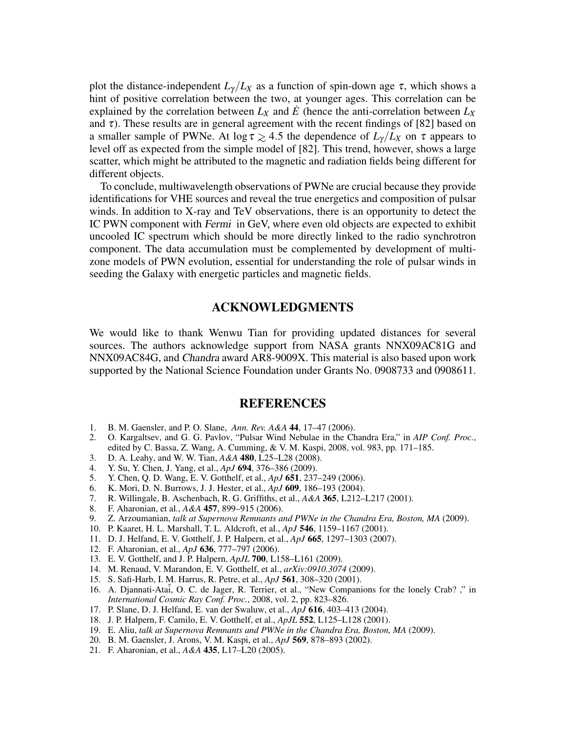plot the distance-independent  $L_{\gamma}/L_X$  as a function of spin-down age  $\tau$ , which shows a hint of positive correlation between the two, at younger ages. This correlation can be explained by the correlation between  $L_X$  and  $\dot{E}$  (hence the anti-correlation between  $L_X$ and  $\tau$ ). These results are in general agreement with the recent findings of [82] based on a smaller sample of PWNe. At  $\log \tau \gtrsim 4.5$  the dependence of  $L_\gamma/L_X$  on  $\tau$  appears to level off as expected from the simple model of [82]. This trend, however, shows a large scatter, which might be attributed to the magnetic and radiation fields being different for different objects.

To conclude, multiwavelength observations of PWNe are crucial because they provide identifications for VHE sources and reveal the true energetics and composition of pulsar winds. In addition to X-ray and TeV observations, there is an opportunity to detect the IC PWN component with Fermi in GeV, where even old objects are expected to exhibit uncooled IC spectrum which should be more directly linked to the radio synchrotron component. The data accumulation must be complemented by development of multizone models of PWN evolution, essential for understanding the role of pulsar winds in seeding the Galaxy with energetic particles and magnetic fields.

## ACKNOWLEDGMENTS

We would like to thank Wenwu Tian for providing updated distances for several sources. The authors acknowledge support from NASA grants NNX09AC81G and NNX09AC84G, and Chandra award AR8-9009X. This material is also based upon work supported by the National Science Foundation under Grants No. 0908733 and 0908611.

## **REFERENCES**

- 1. B. M. Gaensler, and P. O. Slane, *Ann. Rev. A&A* 44, 17–47 (2006).
- 2. O. Kargaltsev, and G. G. Pavlov, "Pulsar Wind Nebulae in the Chandra Era," in *AIP Conf. Proc.*, edited by C. Bassa, Z. Wang, A. Cumming, & V. M. Kaspi, 2008, vol. 983, pp. 171–185.
- 3. D. A. Leahy, and W. W. Tian, *A&A* 480, L25–L28 (2008).
- 4. Y. Su, Y. Chen, J. Yang, et al., *ApJ* **694**, 376–386 (2009).<br>5. Y. Chen, Q. D. Wang, E. V. Gotthelf, et al., *ApJ* **651**, 237
- 5. Y. Chen, Q. D. Wang, E. V. Gotthelf, et al., *ApJ* 651, 237–249 (2006).
- 6. K. Mori, D. N. Burrows, J. J. Hester, et al., *ApJ* 609, 186–193 (2004).
- 7. R. Willingale, B. Aschenbach, R. G. Griffiths, et al., *A&A* 365, L212–L217 (2001).
- 8. F. Aharonian, et al., *A&A* 457, 899–915 (2006).
- 9. Z. Arzoumanian, *talk at Supernova Remnants and PWNe in the Chandra Era, Boston, MA* (2009).
- 10. P. Kaaret, H. L. Marshall, T. L. Aldcroft, et al., *ApJ* 546, 1159–1167 (2001).
- 11. D. J. Helfand, E. V. Gotthelf, J. P. Halpern, et al., *ApJ* 665, 1297–1303 (2007).
- 12. F. Aharonian, et al., *ApJ* 636, 777–797 (2006).
- 13. E. V. Gotthelf, and J. P. Halpern, *ApJL* 700, L158–L161 (2009).
- 14. M. Renaud, V. Marandon, E. V. Gotthelf, et al., *arXiv:0910.3074* (2009).
- 15. S. Safi-Harb, I. M. Harrus, R. Petre, et al., *ApJ* 561, 308–320 (2001).
- 16. A. Djannati-Atai, O. C. de Jager, R. Terrier, et al., "New Companions for the lonely Crab? ," in *International Cosmic Ray Conf. Proc.*, 2008, vol. 2, pp. 823–826.
- 17. P. Slane, D. J. Helfand, E. van der Swaluw, et al., *ApJ* 616, 403–413 (2004).
- 18. J. P. Halpern, F. Camilo, E. V. Gotthelf, et al., *ApJL* 552, L125–L128 (2001).
- 19. E. Aliu, *talk at Supernova Remnants and PWNe in the Chandra Era, Boston, MA* (2009).
- 20. B. M. Gaensler, J. Arons, V. M. Kaspi, et al., *ApJ* 569, 878–893 (2002).
- 21. F. Aharonian, et al., *A&A* 435, L17–L20 (2005).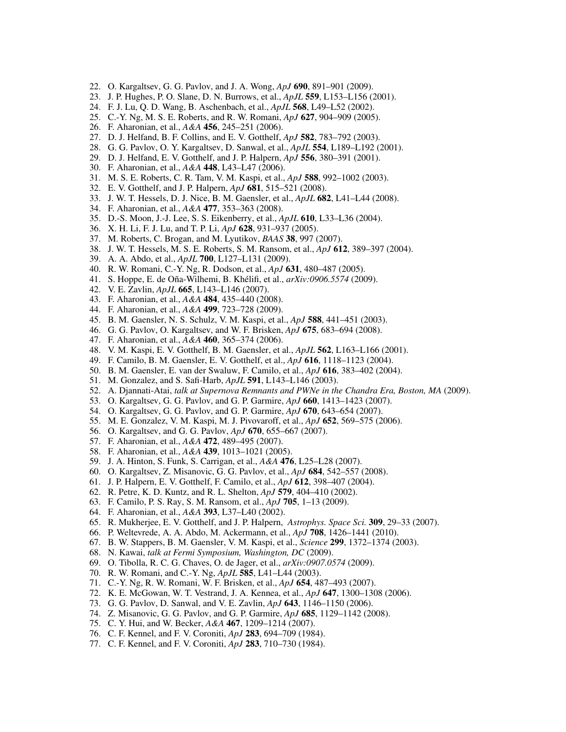- 22. O. Kargaltsev, G. G. Pavlov, and J. A. Wong, *ApJ* 690, 891–901 (2009).
- 23. J. P. Hughes, P. O. Slane, D. N. Burrows, et al., *ApJL* 559, L153–L156 (2001).
- 24. F. J. Lu, Q. D. Wang, B. Aschenbach, et al., *ApJL* 568, L49–L52 (2002).
- 25. C.-Y. Ng, M. S. E. Roberts, and R. W. Romani, *ApJ* 627, 904–909 (2005).
- 26. F. Aharonian, et al., *A&A* 456, 245–251 (2006).
- 27. D. J. Helfand, B. F. Collins, and E. V. Gotthelf, *ApJ* 582, 783–792 (2003).
- 28. G. G. Pavlov, O. Y. Kargaltsev, D. Sanwal, et al., *ApJL* 554, L189–L192 (2001).
- 29. D. J. Helfand, E. V. Gotthelf, and J. P. Halpern, *ApJ* 556, 380–391 (2001).
- 30. F. Aharonian, et al., *A&A* 448, L43–L47 (2006).
- 31. M. S. E. Roberts, C. R. Tam, V. M. Kaspi, et al., *ApJ* 588, 992–1002 (2003).
- 32. E. V. Gotthelf, and J. P. Halpern, *ApJ* 681, 515–521 (2008).
- 33. J. W. T. Hessels, D. J. Nice, B. M. Gaensler, et al., *ApJL* 682, L41–L44 (2008).
- 34. F. Aharonian, et al., *A&A* 477, 353–363 (2008).
- 35. D.-S. Moon, J.-J. Lee, S. S. Eikenberry, et al., *ApJL* 610, L33–L36 (2004).
- 36. X. H. Li, F. J. Lu, and T. P. Li, *ApJ* 628, 931–937 (2005).
- 37. M. Roberts, C. Brogan, and M. Lyutikov, *BAAS* 38, 997 (2007).
- 38. J. W. T. Hessels, M. S. E. Roberts, S. M. Ransom, et al., *ApJ* 612, 389–397 (2004).
- 39. A. A. Abdo, et al., *ApJL* 700, L127–L131 (2009).
- 40. R. W. Romani, C.-Y. Ng, R. Dodson, et al., *ApJ* 631, 480–487 (2005).
- 41. S. Hoppe, E. de Oña-Wilhemi, B. Khélifi, et al., *arXiv:0906.5574* (2009).
- 42. V. E. Zavlin, *ApJL* 665, L143–L146 (2007).
- 43. F. Aharonian, et al., *A&A* 484, 435–440 (2008).
- 44. F. Aharonian, et al., *A&A* 499, 723–728 (2009).
- 45. B. M. Gaensler, N. S. Schulz, V. M. Kaspi, et al., *ApJ* 588, 441–451 (2003).
- 46. G. G. Pavlov, O. Kargaltsev, and W. F. Brisken, *ApJ* 675, 683–694 (2008).
- 47. F. Aharonian, et al., *A&A* 460, 365–374 (2006).
- 48. V. M. Kaspi, E. V. Gotthelf, B. M. Gaensler, et al., *ApJL* 562, L163–L166 (2001).
- 49. F. Camilo, B. M. Gaensler, E. V. Gotthelf, et al., *ApJ* 616, 1118–1123 (2004).
- 50. B. M. Gaensler, E. van der Swaluw, F. Camilo, et al., *ApJ* 616, 383–402 (2004).
- 51. M. Gonzalez, and S. Safi-Harb, *ApJL* 591, L143–L146 (2003).
- 52. A. Djannati-Atai, *talk at Supernova Remnants and PWNe in the Chandra Era, Boston, MA* (2009).
- 53. O. Kargaltsev, G. G. Pavlov, and G. P. Garmire, *ApJ* 660, 1413–1423 (2007).
- 54. O. Kargaltsev, G. G. Pavlov, and G. P. Garmire, *ApJ* 670, 643–654 (2007).
- 55. M. E. Gonzalez, V. M. Kaspi, M. J. Pivovaroff, et al., *ApJ* 652, 569–575 (2006).
- 56. O. Kargaltsev, and G. G. Pavlov, *ApJ* 670, 655–667 (2007).
- 57. F. Aharonian, et al., *A&A* 472, 489–495 (2007).
- 58. F. Aharonian, et al., *A&A* 439, 1013–1021 (2005).
- 59. J. A. Hinton, S. Funk, S. Carrigan, et al., *A&A* 476, L25–L28 (2007).
- 60. O. Kargaltsev, Z. Misanovic, G. G. Pavlov, et al., *ApJ* 684, 542–557 (2008).
- 61. J. P. Halpern, E. V. Gotthelf, F. Camilo, et al., *ApJ* 612, 398–407 (2004).
- 62. R. Petre, K. D. Kuntz, and R. L. Shelton, *ApJ* 579, 404–410 (2002).
- 63. F. Camilo, P. S. Ray, S. M. Ransom, et al., *ApJ* 705, 1–13 (2009).
- 64. F. Aharonian, et al., *A&A* 393, L37–L40 (2002).
- 65. R. Mukherjee, E. V. Gotthelf, and J. P. Halpern, *Astrophys. Space Sci.* 309, 29–33 (2007).
- 66. P. Weltevrede, A. A. Abdo, M. Ackermann, et al., *ApJ* 708, 1426–1441 (2010).
- 67. B. W. Stappers, B. M. Gaensler, V. M. Kaspi, et al., *Science* 299, 1372–1374 (2003).
- 68. N. Kawai, *talk at Fermi Symposium, Washington, DC* (2009).
- 69. O. Tibolla, R. C. G. Chaves, O. de Jager, et al., *arXiv:0907.0574* (2009).
- 70. R. W. Romani, and C.-Y. Ng, *ApJL* 585, L41–L44 (2003).
- 71. C.-Y. Ng, R. W. Romani, W. F. Brisken, et al., *ApJ* 654, 487–493 (2007).
- 72. K. E. McGowan, W. T. Vestrand, J. A. Kennea, et al., *ApJ* 647, 1300–1308 (2006).
- 73. G. G. Pavlov, D. Sanwal, and V. E. Zavlin, *ApJ* 643, 1146–1150 (2006).
- 74. Z. Misanovic, G. G. Pavlov, and G. P. Garmire, *ApJ* 685, 1129–1142 (2008).
- 75. C. Y. Hui, and W. Becker, *A&A* 467, 1209–1214 (2007).
- 76. C. F. Kennel, and F. V. Coroniti, *ApJ* 283, 694–709 (1984).
- 77. C. F. Kennel, and F. V. Coroniti, *ApJ* 283, 710–730 (1984).